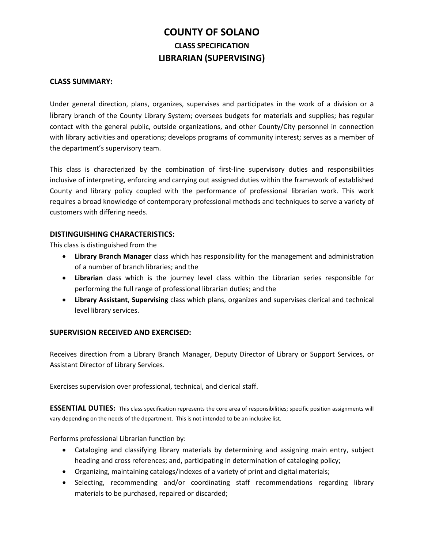# **COUNTY OF SOLANO CLASS SPECIFICATION LIBRARIAN (SUPERVISING)**

## **CLASS SUMMARY:**

Under general direction, plans, organizes, supervises and participates in the work of a division or a library branch of the County Library System; oversees budgets for materials and supplies; has regular contact with the general public, outside organizations, and other County/City personnel in connection with library activities and operations; develops programs of community interest; serves as a member of the department's supervisory team.

This class is characterized by the combination of first-line supervisory duties and responsibilities inclusive of interpreting, enforcing and carrying out assigned duties within the framework of established County and library policy coupled with the performance of professional librarian work. This work requires a broad knowledge of contemporary professional methods and techniques to serve a variety of customers with differing needs.

# **DISTINGUISHING CHARACTERISTICS:**

This class is distinguished from the

- **Library Branch Manager** class which has responsibility for the management and administration of a number of branch libraries; and the
- **Librarian** class which is the journey level class within the Librarian series responsible for performing the full range of professional librarian duties; and the
- **Library Assistant**, **Supervising** class which plans, organizes and supervises clerical and technical level library services.

# **SUPERVISION RECEIVED AND EXERCISED:**

Receives direction from a Library Branch Manager, Deputy Director of Library or Support Services, or Assistant Director of Library Services.

Exercises supervision over professional, technical, and clerical staff.

**ESSENTIAL DUTIES:** This class specification represents the core area of responsibilities; specific position assignments will vary depending on the needs of the department. This is not intended to be an inclusive list.

Performs professional Librarian function by:

- Cataloging and classifying library materials by determining and assigning main entry, subject heading and cross references; and, participating in determination of cataloging policy;
- Organizing, maintaining catalogs/indexes of a variety of print and digital materials;
- Selecting, recommending and/or coordinating staff recommendations regarding library materials to be purchased, repaired or discarded;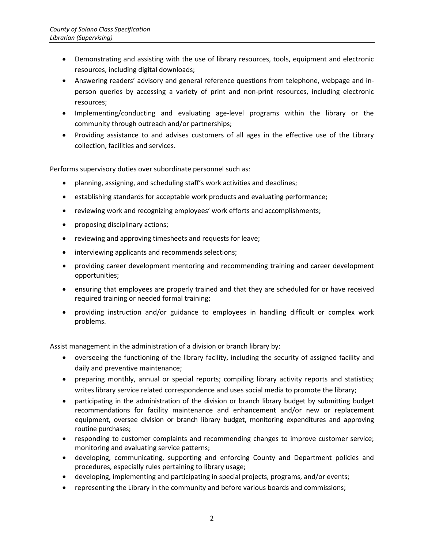- Demonstrating and assisting with the use of library resources, tools, equipment and electronic resources, including digital downloads;
- Answering readers' advisory and general reference questions from telephone, webpage and inperson queries by accessing a variety of print and non-print resources, including electronic resources;
- Implementing/conducting and evaluating age-level programs within the library or the community through outreach and/or partnerships;
- Providing assistance to and advises customers of all ages in the effective use of the Library collection, facilities and services.

Performs supervisory duties over subordinate personnel such as:

- planning, assigning, and scheduling staff's work activities and deadlines;
- establishing standards for acceptable work products and evaluating performance;
- reviewing work and recognizing employees' work efforts and accomplishments;
- proposing disciplinary actions;
- reviewing and approving timesheets and requests for leave;
- interviewing applicants and recommends selections;
- providing career development mentoring and recommending training and career development opportunities;
- ensuring that employees are properly trained and that they are scheduled for or have received required training or needed formal training;
- providing instruction and/or guidance to employees in handling difficult or complex work problems.

Assist management in the administration of a division or branch library by:

- overseeing the functioning of the library facility, including the security of assigned facility and daily and preventive maintenance;
- preparing monthly, annual or special reports; compiling library activity reports and statistics; writes library service related correspondence and uses social media to promote the library;
- participating in the administration of the division or branch library budget by submitting budget recommendations for facility maintenance and enhancement and/or new or replacement equipment, oversee division or branch library budget, monitoring expenditures and approving routine purchases;
- responding to customer complaints and recommending changes to improve customer service; monitoring and evaluating service patterns;
- developing, communicating, supporting and enforcing County and Department policies and procedures, especially rules pertaining to library usage;
- developing, implementing and participating in special projects, programs, and/or events;
- representing the Library in the community and before various boards and commissions;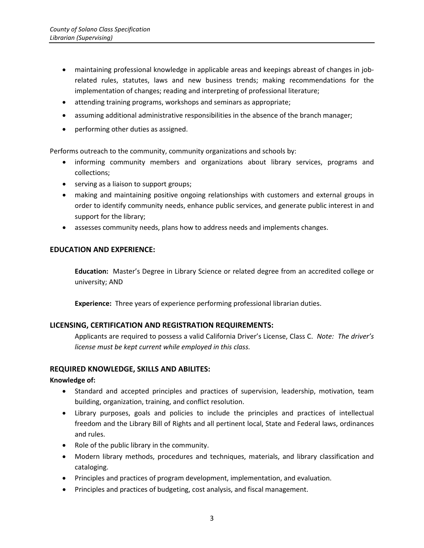- maintaining professional knowledge in applicable areas and keepings abreast of changes in jobrelated rules, statutes, laws and new business trends; making recommendations for the implementation of changes; reading and interpreting of professional literature;
- attending training programs, workshops and seminars as appropriate;
- assuming additional administrative responsibilities in the absence of the branch manager;
- performing other duties as assigned.

Performs outreach to the community, community organizations and schools by:

- informing community members and organizations about library services, programs and collections;
- serving as a liaison to support groups;
- making and maintaining positive ongoing relationships with customers and external groups in order to identify community needs, enhance public services, and generate public interest in and support for the library;
- assesses community needs, plans how to address needs and implements changes.

## **EDUCATION AND EXPERIENCE:**

**Education:** Master's Degree in Library Science or related degree from an accredited college or university; AND

**Experience:** Three years of experience performing professional librarian duties.

# **LICENSING, CERTIFICATION AND REGISTRATION REQUIREMENTS:**

Applicants are required to possess a valid California Driver's License, Class C. *Note: The driver's license must be kept current while employed in this class.*

#### **REQUIRED KNOWLEDGE, SKILLS AND ABILITES:**

#### **Knowledge of:**

- Standard and accepted principles and practices of supervision, leadership, motivation, team building, organization, training, and conflict resolution.
- Library purposes, goals and policies to include the principles and practices of intellectual freedom and the Library Bill of Rights and all pertinent local, State and Federal laws, ordinances and rules.
- Role of the public library in the community.
- Modern library methods, procedures and techniques, materials, and library classification and cataloging.
- Principles and practices of program development, implementation, and evaluation.
- Principles and practices of budgeting, cost analysis, and fiscal management.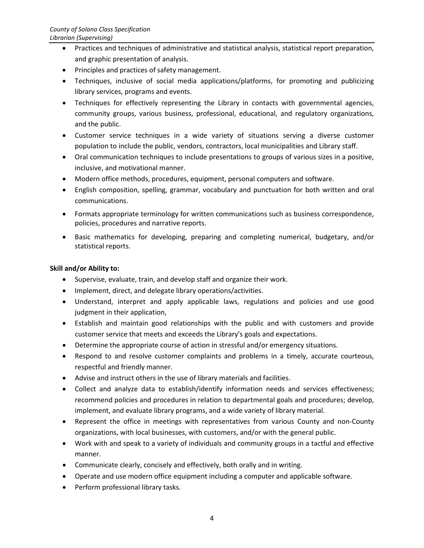- Practices and techniques of administrative and statistical analysis, statistical report preparation, and graphic presentation of analysis.
- Principles and practices of safety management.
- Techniques, inclusive of social media applications/platforms, for promoting and publicizing library services, programs and events.
- Techniques for effectively representing the Library in contacts with governmental agencies, community groups, various business, professional, educational, and regulatory organizations, and the public.
- Customer service techniques in a wide variety of situations serving a diverse customer population to include the public, vendors, contractors, local municipalities and Library staff.
- Oral communication techniques to include presentations to groups of various sizes in a positive, inclusive, and motivational manner.
- Modern office methods, procedures, equipment, personal computers and software.
- English composition, spelling, grammar, vocabulary and punctuation for both written and oral communications.
- Formats appropriate terminology for written communications such as business correspondence, policies, procedures and narrative reports.
- Basic mathematics for developing, preparing and completing numerical, budgetary, and/or statistical reports.

## **Skill and/or Ability to:**

- Supervise, evaluate, train, and develop staff and organize their work.
- Implement, direct, and delegate library operations/activities.
- Understand, interpret and apply applicable laws, regulations and policies and use good judgment in their application,
- Establish and maintain good relationships with the public and with customers and provide customer service that meets and exceeds the Library's goals and expectations.
- Determine the appropriate course of action in stressful and/or emergency situations.
- Respond to and resolve customer complaints and problems in a timely, accurate courteous, respectful and friendly manner.
- Advise and instruct others in the use of library materials and facilities.
- Collect and analyze data to establish/identify information needs and services effectiveness; recommend policies and procedures in relation to departmental goals and procedures; develop, implement, and evaluate library programs, and a wide variety of library material.
- Represent the office in meetings with representatives from various County and non-County organizations, with local businesses, with customers, and/or with the general public.
- Work with and speak to a variety of individuals and community groups in a tactful and effective manner.
- Communicate clearly, concisely and effectively, both orally and in writing.
- Operate and use modern office equipment including a computer and applicable software.
- Perform professional library tasks.